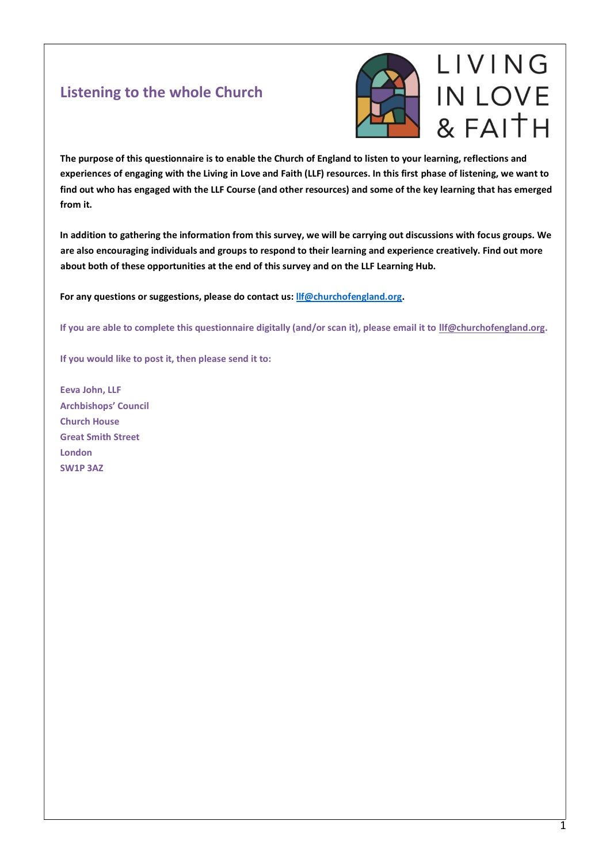## **Listening to the whole Church**



**The purpose of this questionnaire is to enable the Church of England to listen to your learning, reflections and experiences of engaging with the Living in Love and Faith (LLF) resources. In this first phase of listening, we want to find out who has engaged with the LLF Course (and other resources) and some of the key learning that has emerged from it.**

**In addition to gathering the information from this survey, we will be carrying out discussions with focus groups. We are also encouraging individuals and groups to respond to their learning and experience creatively. Find out more about both of these opportunities at the end of this survey and on the LLF Learning Hub.** 

**For any questions or suggestions, please do contact us[: llf@churchofengland.org.](mailto:llf@churchofengland.org)**

**If you are able to complete this questionnaire digitally (and/or scan it), please email it to [llf@churchofengland.org.](mailto:llf@churchofengland.org)**

**If you would like to post it, then please send it to:**

**Eeva John, LLF Archbishops' Council Church House Great Smith Street London SW1P 3AZ**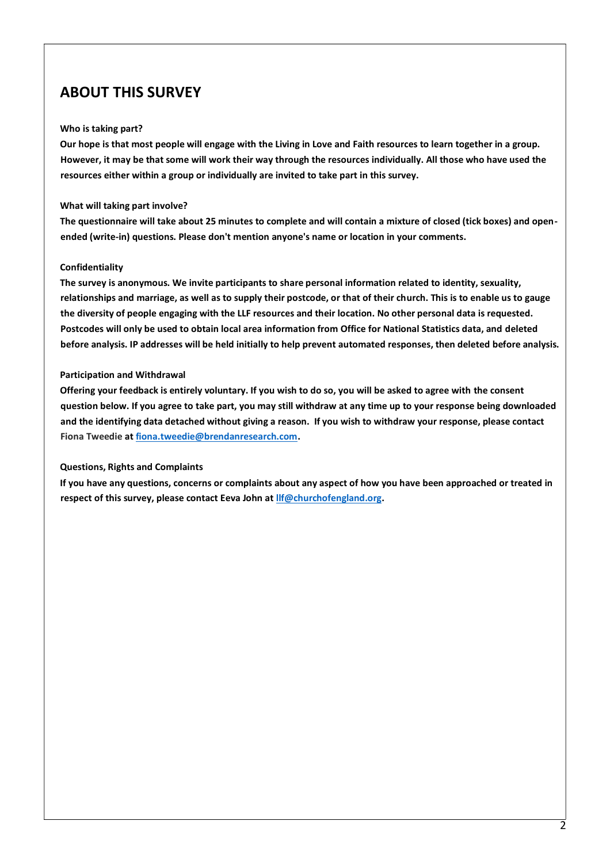## **ABOUT THIS SURVEY**

#### **Who is taking part?**

**Our hope is that most people will engage with the Living in Love and Faith resources to learn together in a group. However, it may be that some will work their way through the resources individually. All those who have used the resources either within a group or individually are invited to take part in this survey.** 

#### **What will taking part involve?**

**The questionnaire will take about 25 minutes to complete and will contain a mixture of closed (tick boxes) and openended (write-in) questions. Please don't mention anyone's name or location in your comments.**

#### **Confidentiality**

**The survey is anonymous. We invite participants to share personal information related to identity, sexuality, relationships and marriage, as well as to supply their postcode, or that of their church. This is to enable us to gauge the diversity of people engaging with the LLF resources and their location. No other personal data is requested. Postcodes will only be used to obtain local area information from Office for National Statistics data, and deleted before analysis. IP addresses will be held initially to help prevent automated responses, then deleted before analysis.**

### **Participation and Withdrawal**

**Offering your feedback is entirely voluntary. If you wish to do so, you will be asked to agree with the consent question below. If you agree to take part, you may still withdraw at any time up to your response being downloaded and the identifying data detached without giving a reason. If you wish to withdraw your response, please contact Fiona Tweedie a[t fiona.tweedie@brendanresearch.com.](mailto:fiona.tweedie@brendanresearch.com)** 

### **Questions, Rights and Complaints**

**If you have any questions, concerns or complaints about any aspect of how you have been approached or treated in respect of this survey, please contact Eeva John at [llf@churchofengland.org.](mailto:llf@churchofengland.org)**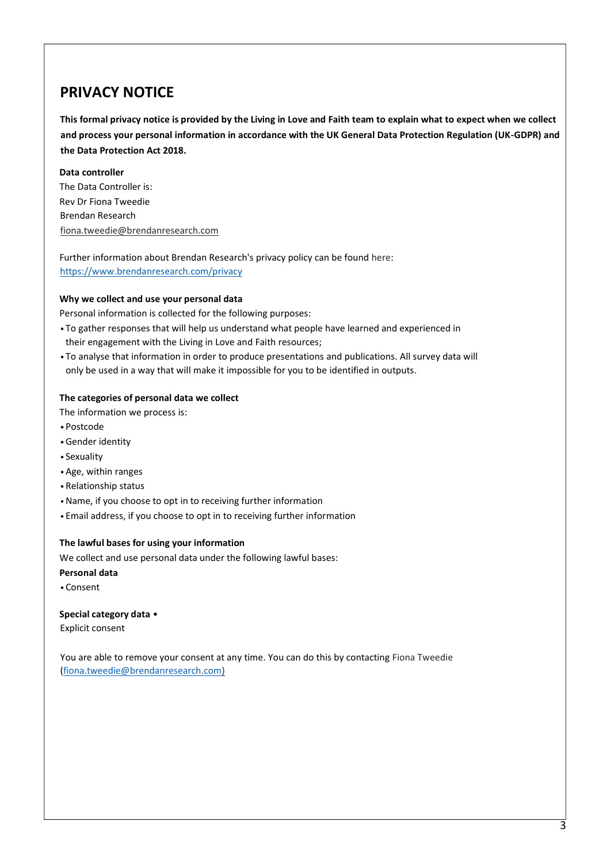## **PRIVACY NOTICE**

**This formal privacy notice is provided by the Living in Love and Faith team to explain what to expect when we collect and process your personal information in accordance with the UK General Data Protection Regulation (UK-GDPR) and the Data Protection Act 2018.**

#### **Data controller** The Data Controller is:

Rev Dr Fiona Tweedie Brendan Research fiona.tweedie@brendanresearch.com

Further information about Brendan Research's privacy policy can be found [here:](https://www.brendanresearch.com/privacy) <https://www.brendanresearch.com/privacy>

### **Why we collect and use your personal data**

Personal information is collected for the following purposes:

- To gather responses that will help us understand what people have learned and experienced in their engagement with the Living in Love and Faith resources;
- To analyse that information in order to produce presentations and publications. All survey data will only be used in a way that will make it impossible for you to be identified in outputs.

#### **The categories of personal data we collect**

The information we process is:

- •Postcode
- •Gender identity
- Sexuality
- •Age, within ranges
- •Relationship status
- •Name, if you choose to opt in to receiving further information
- Email address, if you choose to opt in to receiving further information

#### **The lawful bases for using your information**

We collect and use personal data under the following lawful bases:

- **Personal data**
- •Consent

**Special category data** • Explicit consent

You are able to remove your consent at any time. You can do this by contacting Fiona Tweedie [\(fiona.tweedie@brendanresearch.com\)](mailto:fiona.tweedie@brendanresearch.com)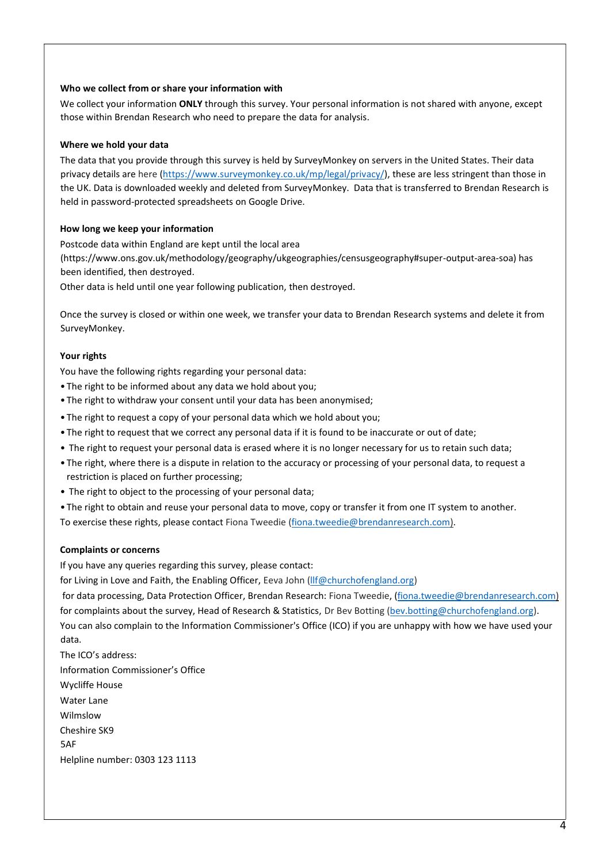#### **Who we collect from or share your information with**

We collect your information **ONLY** through this survey. Your personal information is not shared with anyone, except those within Brendan Research who need to prepare the data for analysis.

#### **Where we hold your data**

The data that you provide through this survey is held by SurveyMonkey on servers in the United States. Their data privacy details are [here](https://www.surveymonkey.co.uk/mp/legal/privacy/) [\(https://www.surveymonkey.co.uk/mp/legal/privacy/\)](https://www.surveymonkey.co.uk/mp/legal/privacy/), these are less stringent than those in the UK. Data is downloaded weekly and deleted from SurveyMonkey. Data that is transferred to Brendan Research is held in password-protected spreadsheets on Google Drive.

#### **How long we keep your information**

Postcode data within England are kept until the local area (https://www.ons.gov.uk/methodology/geography/ukgeographies/censusgeography#super-output-area-soa) has been identified, then destroyed.

Other data is held until one year following publication, then destroyed.

Once the survey is closed or within one week, we transfer your data to Brendan Research systems and delete it from SurveyMonkey.

#### **Your rights**

You have the following rights regarding your personal data:

- The right to be informed about any data we hold about you;
- The right to withdraw your consent until your data has been anonymised;
- The right to request a copy of your personal data which we hold about you;
- The right to request that we correct any personal data if it is found to be inaccurate or out of date;
- The right to request your personal data is erased where it is no longer necessary for us to retain such data;
- The right, where there is a dispute in relation to the accuracy or processing of your personal data, to request a restriction is placed on further processing;
- The right to object to the processing of your personal data;
- The right to obtain and reuse your personal data to move, copy or transfer it from one IT system to another.

To exercise these rights, please contact Fiona Tweedie [\(fiona.tweedie@brendanresearch.com\)](mailto:fiona.tweedie@brendanresearch.com).

#### **Complaints or concerns**

If you have any queries regarding this survey, please contact:

for Living in Love and Faith, the Enabling Officer, Eeva John (Ilf@churchofengland.org)

for data processing, Data Protection Officer, Brendan Research: Fiona Tweedie, [\(fiona.tweedie@brendanresearch.com\)](mailto:fiona.tweedie@brendanresearch.com) for complaints about the survey, Head of Research & Statistics, Dr Bev Botting [\(bev.botting@churchofengland.org\)](mailto:bev.botting@churchofengland.org). You can also complain to the Information Commissioner's Office (ICO) if you are unhappy with how we have used your data.

The ICO's address: Information Commissioner's Office Wycliffe House Water Lane Wilmslow Cheshire SK9 5AF Helpline number: 0303 123 1113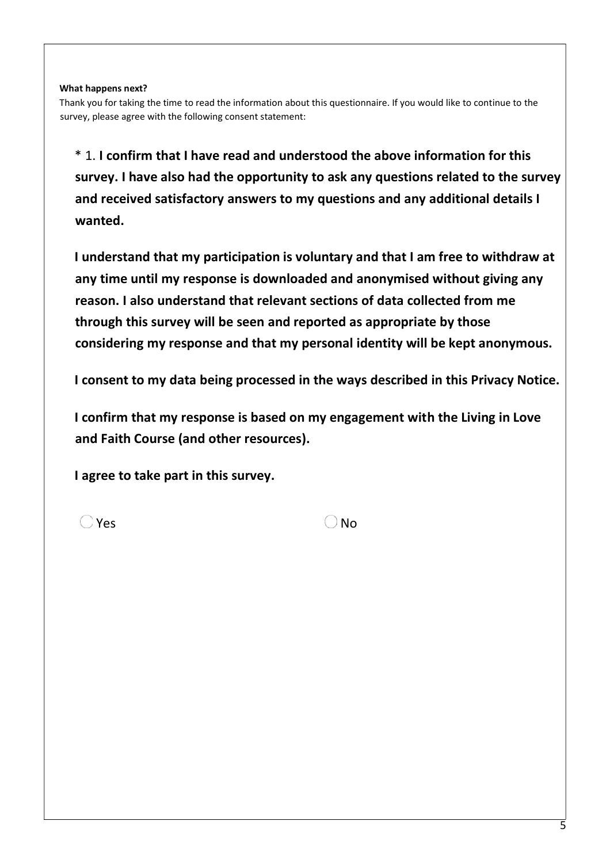### **What happens next?**

Thank you for taking the time to read the information about this questionnaire. If you would like to continue to the survey, please agree with the following consent statement:

\* 1. **I confirm that I have read and understood the above information for this survey. I have also had the opportunity to ask any questions related to the survey and received satisfactory answers to my questions and any additional details I wanted.**

**I understand that my participation is voluntary and that I am free to withdraw at any time until my response is downloaded and anonymised without giving any reason. I also understand that relevant sections of data collected from me through this survey will be seen and reported as appropriate by those considering my response and that my personal identity will be kept anonymous.** 

**I consent to my data being processed in the ways described in this Privacy Notice.**

**I confirm that my response is based on my engagement with the Living in Love and Faith Course (and other resources).**

**I agree to take part in this survey.**

 $Y$ es  $\qquad \qquad \Box$  No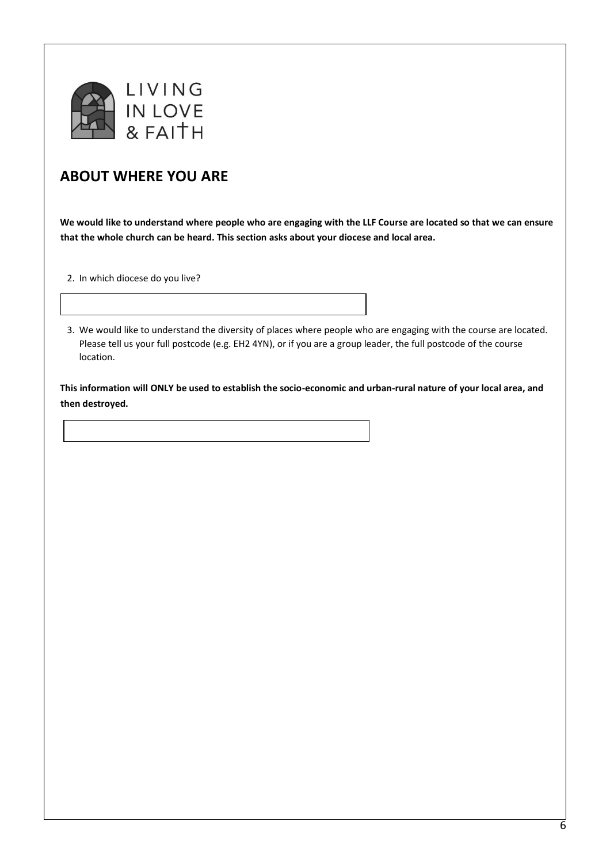

# **ABOUT WHERE YOU ARE**

**We would like to understand where people who are engaging with the LLF Course are located so that we can ensure that the whole church can be heard. This section asks about your diocese and local area.**

2. In which diocese do you live?

3. We would like to understand the diversity of places where people who are engaging with the course are located. Please tell us your full postcode (e.g. EH2 4YN), or if you are a group leader, the full postcode of the course location.

**This information will ONLY be used to establish the socio-economic and urban-rural nature of your local area, and then destroyed.**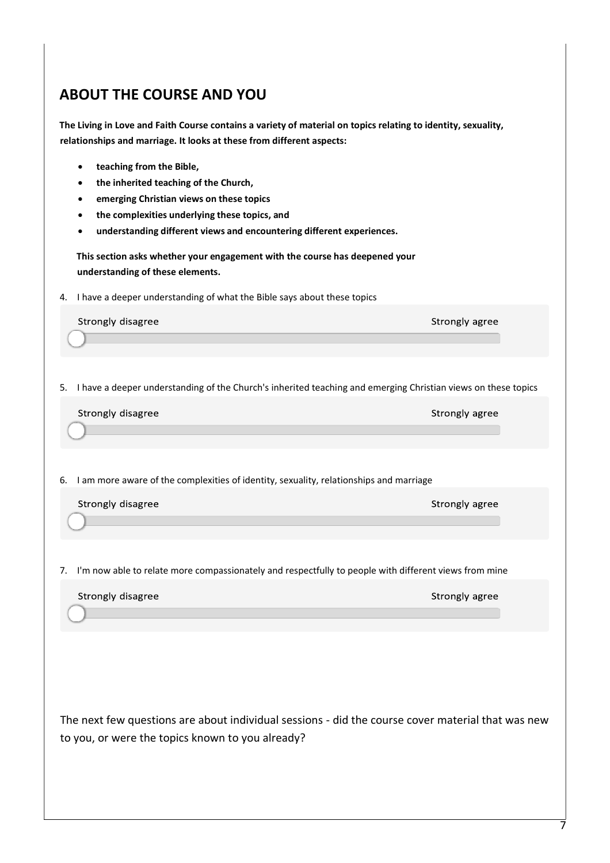# **ABOUT THE COURSE AND YOU**

**The Living in Love and Faith Course contains a variety of material on topics relating to identity, sexuality, relationships and marriage. It looks at these from different aspects:**

- **teaching from the Bible,**
- **the inherited teaching of the Church,**
- **emerging Christian views on these topics**
- **the complexities underlying these topics, and**
- **understanding different views and encountering different experiences.**

**This section asks whether your engagement with the course has deepened your understanding of these elements.**

4. I have a deeper understanding of what the Bible says about these topics

Strongly disagree

Strongly agree

5. I have a deeper understanding of the Church's inherited teaching and emerging Christian views on these topics

|  | Strongly disagree |
|--|-------------------|
|--|-------------------|

Strongly agree

6. I am more aware of the complexities of identity, sexuality, relationships and marriage

Strongly disagree

Strongly agree

7. I'm now able to relate more compassionately and respectfully to people with different views from mine

| Strongly disagree | Strongly agree |
|-------------------|----------------|
|                   |                |

The next few questions are about individual sessions - did the course cover material that was new to you, or were the topics known to you already?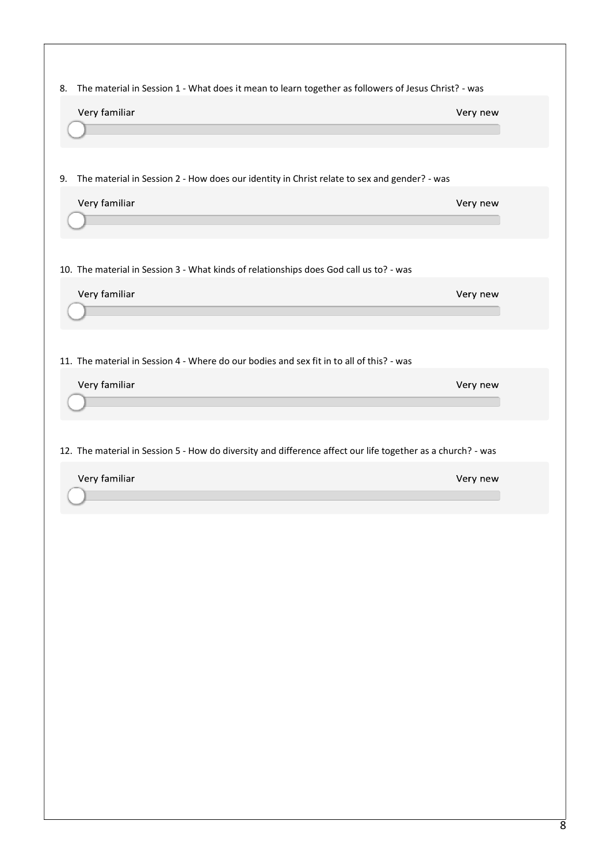| The material in Session 1 - What does it mean to learn together as followers of Jesus Christ? - was<br>Very familiar | Very new |
|----------------------------------------------------------------------------------------------------------------------|----------|
|                                                                                                                      |          |
|                                                                                                                      |          |
| The material in Session 2 - How does our identity in Christ relate to sex and gender? - was                          |          |
| Very familiar                                                                                                        | Very new |
|                                                                                                                      |          |
| 10. The material in Session 3 - What kinds of relationships does God call us to? - was                               |          |
| Very familiar                                                                                                        | Very new |
|                                                                                                                      |          |
|                                                                                                                      |          |
| 11. The material in Session 4 - Where do our bodies and sex fit in to all of this? - was                             |          |
| Very familiar                                                                                                        | Very new |
|                                                                                                                      |          |
| 12. The material in Session 5 - How do diversity and difference affect our life together as a church? - was          |          |
| Very familiar                                                                                                        | Very new |
|                                                                                                                      |          |
|                                                                                                                      |          |
|                                                                                                                      |          |
|                                                                                                                      |          |
|                                                                                                                      |          |
|                                                                                                                      |          |
|                                                                                                                      |          |
|                                                                                                                      |          |
|                                                                                                                      |          |
|                                                                                                                      |          |
|                                                                                                                      |          |
|                                                                                                                      |          |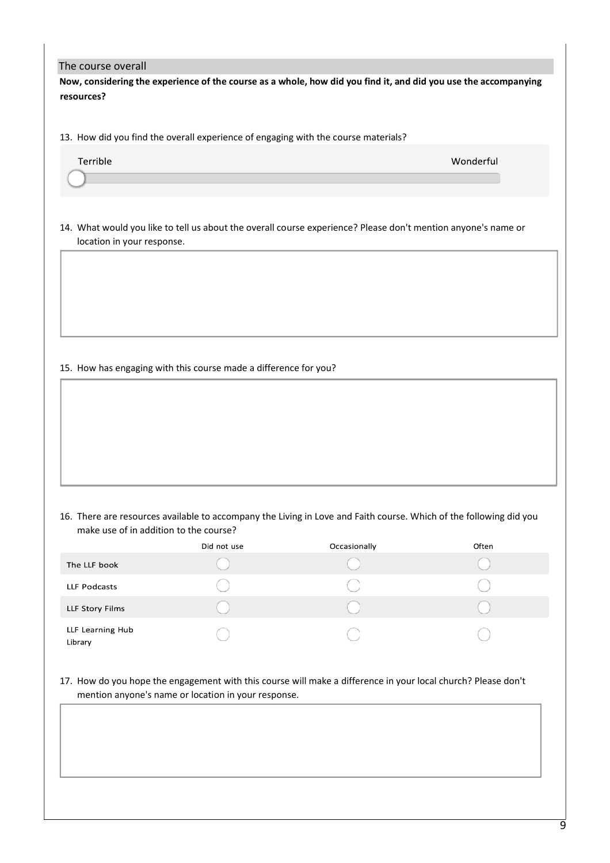#### The course overall

**Now, considering the experience of the course as a whole, how did you find it, and did you use the accompanying resources?**

13. How did you find the overall experience of engaging with the course materials?

| $\tau$ errible | Wonderful |  |
|----------------|-----------|--|
|                |           |  |

14. What would you like to tell us about the overall course experience? Please don't mention anyone's name or location in your response.

#### 15. How has engaging with this course made a difference for you?

16. There are resources available to accompany the Living in Love and Faith course. Which of the following did you make use of in addition to the course?

|                             | Did not use | Occasionally | Often |
|-----------------------------|-------------|--------------|-------|
| The LLF book                |             |              |       |
| LLF Podcasts                |             |              |       |
| LLF Story Films             |             |              |       |
| LLF Learning Hub<br>Library |             |              |       |

17. How do you hope the engagement with this course will make a difference in your local church? Please don't mention anyone's name or location in your response.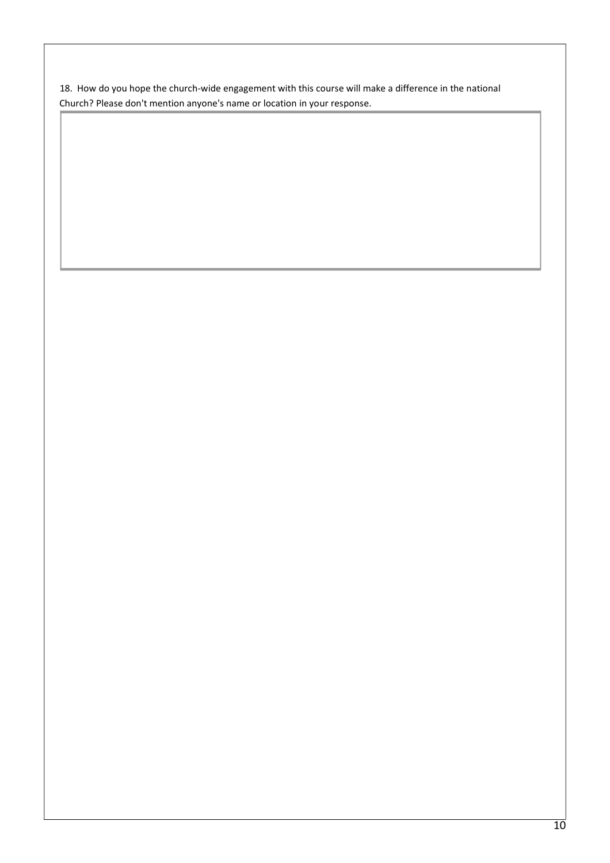18. How do you hope the church-wide engagement with this course will make a difference in the national Church? Please don't mention anyone's name or location in your response.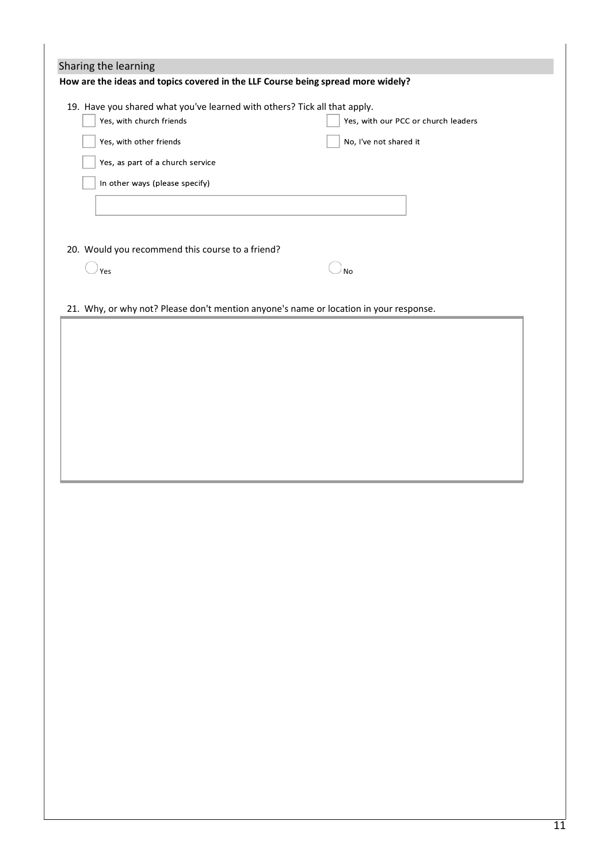| Sharing the learning                                                                  |                                                               |
|---------------------------------------------------------------------------------------|---------------------------------------------------------------|
| How are the ideas and topics covered in the LLF Course being spread more widely?      |                                                               |
| 19. Have you shared what you've learned with others? Tick all that apply.             |                                                               |
| Yes, with church friends<br>Yes, with other friends                                   | Yes, with our PCC or church leaders<br>No, I've not shared it |
| Yes, as part of a church service                                                      |                                                               |
| In other ways (please specify)                                                        |                                                               |
|                                                                                       |                                                               |
|                                                                                       |                                                               |
| 20. Would you recommend this course to a friend?                                      |                                                               |
| Yes                                                                                   | <b>No</b>                                                     |
| 21. Why, or why not? Please don't mention anyone's name or location in your response. |                                                               |
|                                                                                       |                                                               |
|                                                                                       |                                                               |
|                                                                                       |                                                               |
|                                                                                       |                                                               |
|                                                                                       |                                                               |
|                                                                                       |                                                               |
|                                                                                       |                                                               |
|                                                                                       |                                                               |
|                                                                                       |                                                               |
|                                                                                       |                                                               |
|                                                                                       |                                                               |
|                                                                                       |                                                               |
|                                                                                       |                                                               |
|                                                                                       |                                                               |
|                                                                                       |                                                               |
|                                                                                       |                                                               |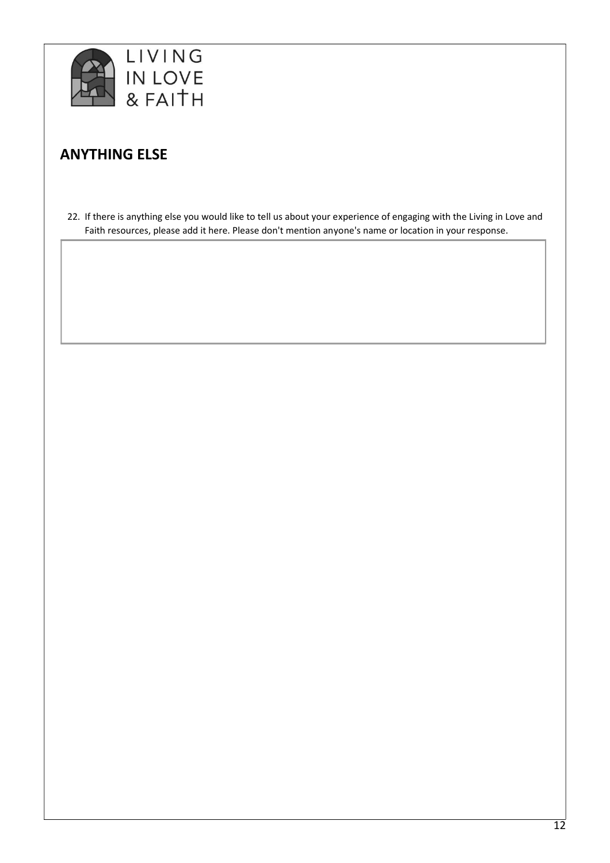

# **ANYTHING ELSE**

22. If there is anything else you would like to tell us about your experience of engaging with the Living in Love and Faith resources, please add it here. Please don't mention anyone's name or location in your response.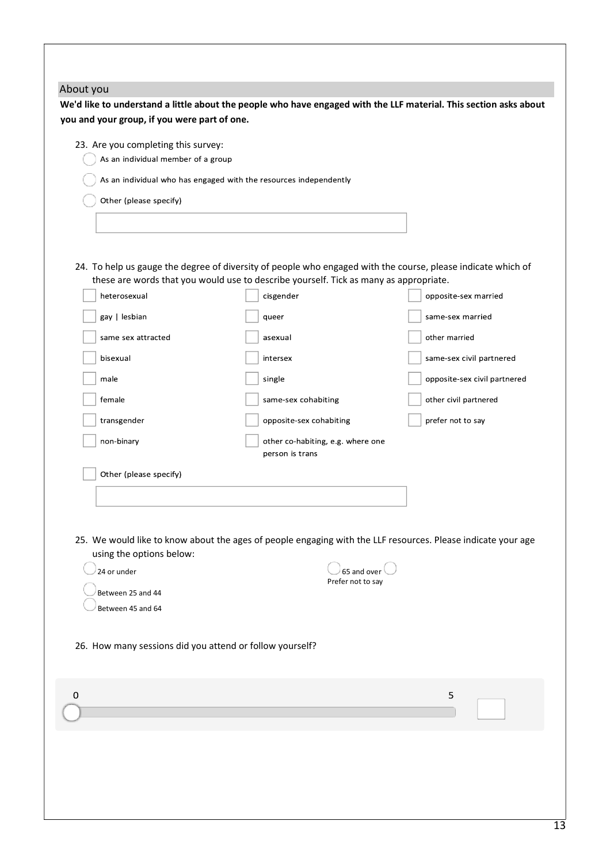| you and your group, if you were part of one.                              | We'd like to understand a little about the people who have engaged with the LLF material. This section asks about                                                                                     |                              |
|---------------------------------------------------------------------------|-------------------------------------------------------------------------------------------------------------------------------------------------------------------------------------------------------|------------------------------|
|                                                                           |                                                                                                                                                                                                       |                              |
| 23. Are you completing this survey:<br>As an individual member of a group |                                                                                                                                                                                                       |                              |
|                                                                           | As an individual who has engaged with the resources independently                                                                                                                                     |                              |
| Other (please specify)                                                    |                                                                                                                                                                                                       |                              |
|                                                                           |                                                                                                                                                                                                       |                              |
|                                                                           |                                                                                                                                                                                                       |                              |
|                                                                           |                                                                                                                                                                                                       |                              |
|                                                                           | 24. To help us gauge the degree of diversity of people who engaged with the course, please indicate which of<br>these are words that you would use to describe yourself. Tick as many as appropriate. |                              |
| heterosexual                                                              | cisgender                                                                                                                                                                                             | opposite-sex married         |
| gay   lesbian                                                             | queer                                                                                                                                                                                                 | same-sex married             |
| same sex attracted                                                        | asexual                                                                                                                                                                                               | other married                |
| bisexual                                                                  | intersex                                                                                                                                                                                              | same-sex civil partnered     |
|                                                                           |                                                                                                                                                                                                       |                              |
| male                                                                      | single                                                                                                                                                                                                | opposite-sex civil partnered |
| female                                                                    | same-sex cohabiting                                                                                                                                                                                   | other civil partnered        |
| transgender                                                               | opposite-sex cohabiting                                                                                                                                                                               | prefer not to say            |
| non-binary                                                                | other co-habiting, e.g. where one<br>person is trans                                                                                                                                                  |                              |
| Other (please specify)                                                    |                                                                                                                                                                                                       |                              |
|                                                                           |                                                                                                                                                                                                       |                              |
|                                                                           |                                                                                                                                                                                                       |                              |
|                                                                           |                                                                                                                                                                                                       |                              |
| using the options below:                                                  | 25. We would like to know about the ages of people engaging with the LLF resources. Please indicate your age                                                                                          |                              |
| 24 or under                                                               | 65 and over                                                                                                                                                                                           |                              |
| Between 25 and 44                                                         | Prefer not to say                                                                                                                                                                                     |                              |
| Between 45 and 64                                                         |                                                                                                                                                                                                       |                              |
|                                                                           |                                                                                                                                                                                                       |                              |
| 26. How many sessions did you attend or follow yourself?                  |                                                                                                                                                                                                       |                              |
|                                                                           |                                                                                                                                                                                                       |                              |
|                                                                           |                                                                                                                                                                                                       |                              |
| 0                                                                         |                                                                                                                                                                                                       | 5                            |
|                                                                           |                                                                                                                                                                                                       |                              |
|                                                                           |                                                                                                                                                                                                       |                              |
|                                                                           |                                                                                                                                                                                                       |                              |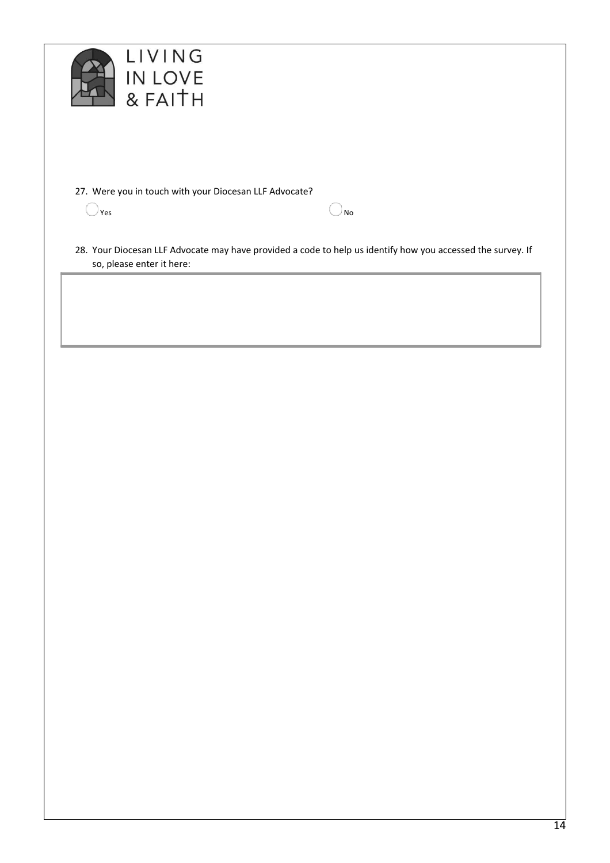



27. Were you in touch with your Diocesan LLF Advocate?

 $Y$ es  $\sim$  No

28. Your Diocesan LLF Advocate may have provided a code to help us identify how you accessed the survey. If so, please enter it here: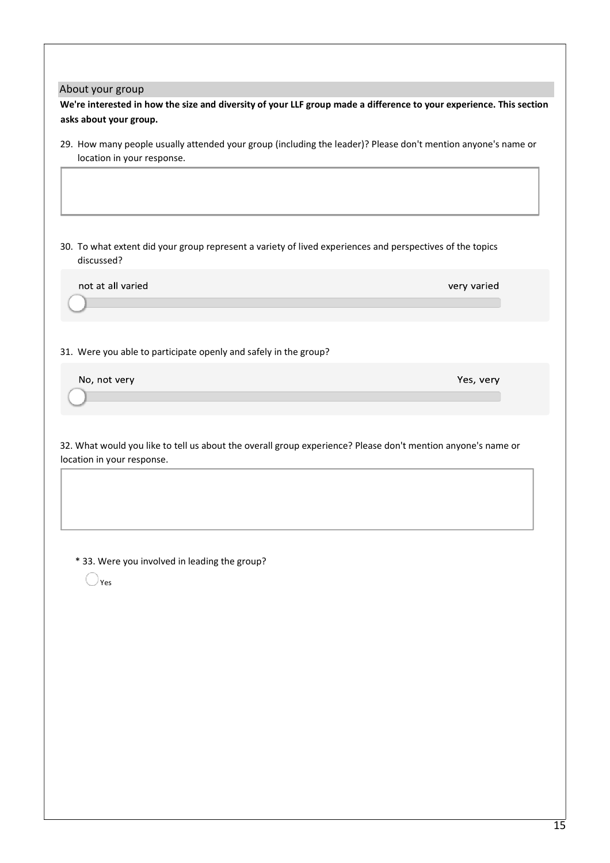#### About your group

**We're interested in how the size and diversity of your LLF group made a difference to your experience. This section asks about your group.**

29. How many people usually attended your group (including the leader)? Please don't mention anyone's name or location in your response.

30. To what extent did your group represent a variety of lived experiences and perspectives of the topics discussed?

not at all varied

31. Were you able to participate openly and safely in the group?

No, not very

32. What would you like to tell us about the overall group experience? Please don't mention anyone's name or location in your response.

\* 33. Were you involved in leading the group?

 $\bigcirc$ <sub>Yes</sub>

15

very varied

Yes, very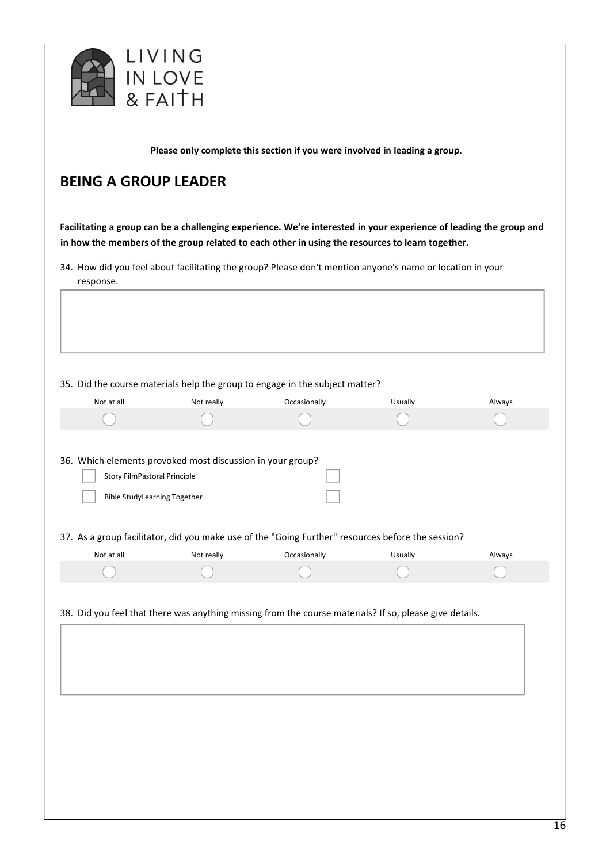

**Please only complete this section if you were involved in leading a group.**

## **BEING A GROUP LEADER**

**Facilitating a group can be a challenging experience. We're interested in your experience of leading the group and in how the members of the group related to each other in using the resources to learn together.**

34. How did you feel about facilitating the group? Please don't mention anyone's name or location in your response.

35. Did the course materials help the group to engage in the subject matter?

| <b>Story FilmPastoral Principle</b><br><b>Bible StudyLearning Together</b><br>Not at all<br>Not really<br>Occasionally<br>Usually | Always                                                                                            |                                                                                                         | Not really | Occasionally | Usually | Always |
|-----------------------------------------------------------------------------------------------------------------------------------|---------------------------------------------------------------------------------------------------|---------------------------------------------------------------------------------------------------------|------------|--------------|---------|--------|
|                                                                                                                                   |                                                                                                   |                                                                                                         |            |              |         |        |
| 36. Which elements provoked most discussion in your group?                                                                        |                                                                                                   |                                                                                                         |            |              |         |        |
|                                                                                                                                   | 37. As a group facilitator, did you make use of the "Going Further" resources before the session? |                                                                                                         |            |              |         |        |
|                                                                                                                                   |                                                                                                   |                                                                                                         |            |              |         |        |
|                                                                                                                                   |                                                                                                   |                                                                                                         |            |              |         |        |
|                                                                                                                                   |                                                                                                   |                                                                                                         |            |              |         |        |
|                                                                                                                                   |                                                                                                   |                                                                                                         |            |              |         |        |
|                                                                                                                                   |                                                                                                   | 38. Did you feel that there was anything missing from the course materials? If so, please give details. |            |              |         |        |
|                                                                                                                                   |                                                                                                   |                                                                                                         |            |              |         |        |
|                                                                                                                                   |                                                                                                   |                                                                                                         |            |              |         |        |
|                                                                                                                                   |                                                                                                   |                                                                                                         |            |              |         |        |
|                                                                                                                                   |                                                                                                   |                                                                                                         |            |              |         |        |
|                                                                                                                                   |                                                                                                   |                                                                                                         |            |              |         |        |
|                                                                                                                                   |                                                                                                   |                                                                                                         |            |              |         |        |
|                                                                                                                                   |                                                                                                   |                                                                                                         |            |              |         |        |
|                                                                                                                                   |                                                                                                   |                                                                                                         |            |              |         |        |
|                                                                                                                                   |                                                                                                   |                                                                                                         |            |              |         |        |
|                                                                                                                                   |                                                                                                   |                                                                                                         |            |              |         |        |
|                                                                                                                                   |                                                                                                   |                                                                                                         |            |              |         |        |
|                                                                                                                                   |                                                                                                   |                                                                                                         |            |              |         |        |
|                                                                                                                                   |                                                                                                   |                                                                                                         |            |              |         |        |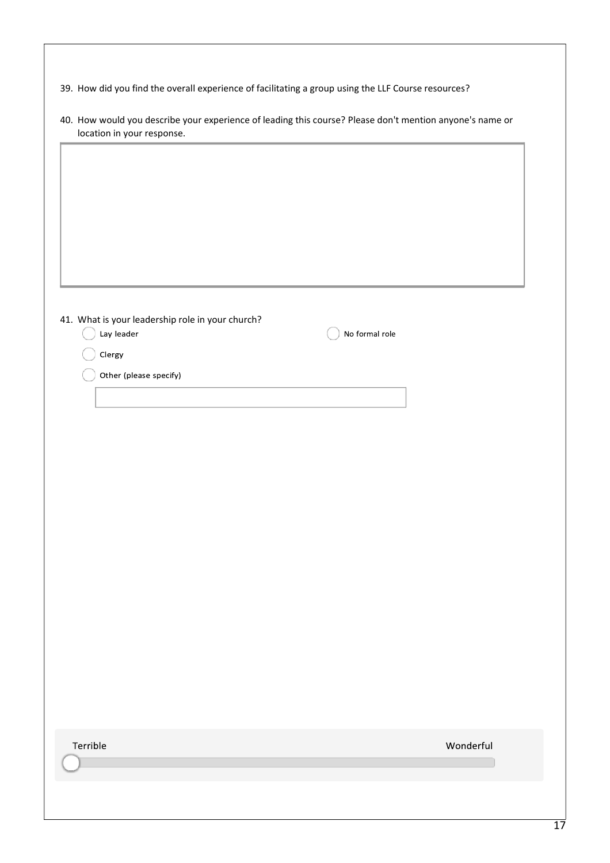|  | 39. How did you find the overall experience of facilitating a group using the LLF Course resources? |  |  |  |  |
|--|-----------------------------------------------------------------------------------------------------|--|--|--|--|
|--|-----------------------------------------------------------------------------------------------------|--|--|--|--|

| 41. What is your leadership role in your church?<br>Lay leader | No formal role |           |
|----------------------------------------------------------------|----------------|-----------|
|                                                                |                |           |
| Clergy                                                         |                |           |
| Other (please specify)                                         |                |           |
|                                                                |                |           |
|                                                                |                |           |
|                                                                |                |           |
|                                                                |                |           |
|                                                                |                |           |
|                                                                |                |           |
|                                                                |                |           |
|                                                                |                |           |
|                                                                |                |           |
|                                                                |                |           |
|                                                                |                |           |
|                                                                |                |           |
|                                                                |                |           |
|                                                                |                |           |
|                                                                |                |           |
|                                                                |                |           |
|                                                                |                |           |
|                                                                |                |           |
|                                                                |                |           |
|                                                                |                |           |
|                                                                |                |           |
|                                                                |                |           |
| Terrible                                                       |                | Wonderful |
|                                                                |                |           |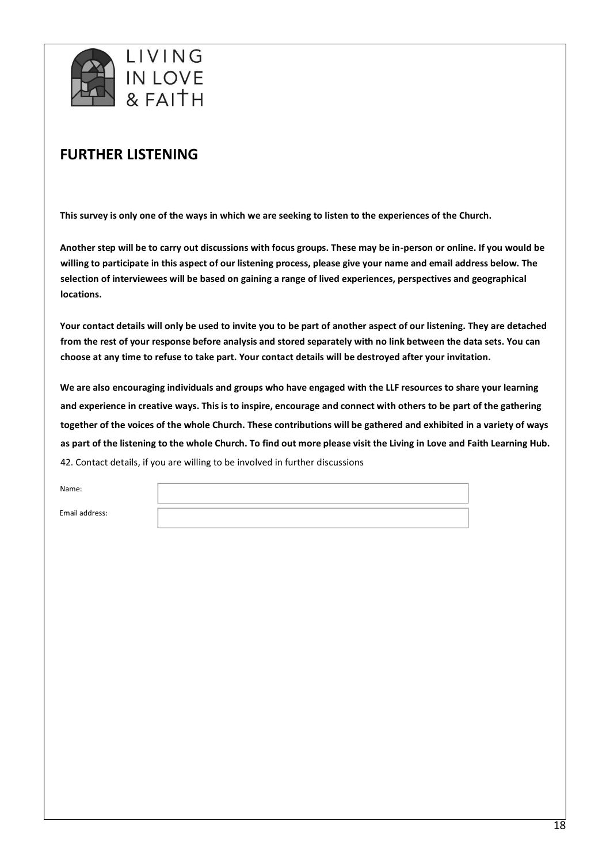

## **FURTHER LISTENING**

**This survey is only one of the ways in which we are seeking to listen to the experiences of the Church.**

**Another step will be to carry out discussions with focus groups. These may be in-person or online. If you would be willing to participate in this aspect of our listening process, please give your name and email address below. The selection of interviewees will be based on gaining a range of lived experiences, perspectives and geographical locations.**

**Your contact details will only be used to invite you to be part of another aspect of our listening. They are detached from the rest of your response before analysis and stored separately with no link between the data sets. You can choose at any time to refuse to take part. Your contact details will be destroyed after your invitation.**

**We are also encouraging individuals and groups who have engaged with the LLF resources to share your learning and experience in creative ways. This is to inspire, encourage and connect with others to be part of the gathering together of the voices of the whole Church. These contributions will be gathered and exhibited in a variety of ways as part of the listening to the whole Church. To find out more please visit the Living in Love and Faith Learning Hub.** 42. Contact details, if you are willing to be involved in further discussions

Name:

Email address: